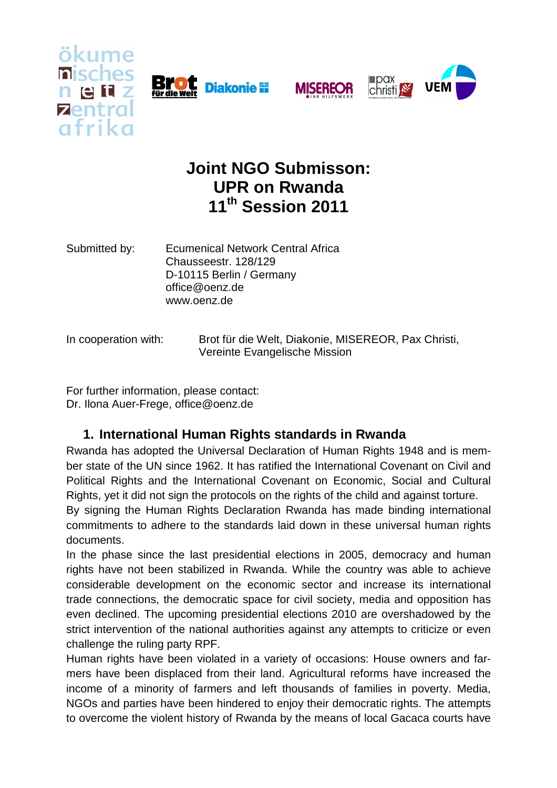







# **Joint NGO Submisson: UPR on Rwanda 11th Session 2011**

Submitted by: Ecumenical Network Central Africa Chausseestr. 128/129 D-10115 Berlin / Germany office@oenz.de www.oenz.de

In cooperation with: Brot für die Welt, Diakonie, MISEREOR, Pax Christi, Vereinte Evangelische Mission

For further information, please contact: Dr. Ilona Auer-Frege, office@oenz.de

# **1. International Human Rights standards in Rwanda**

Rwanda has adopted the Universal Declaration of Human Rights 1948 and is member state of the UN since 1962. It has ratified the International Covenant on Civil and Political Rights and the International Covenant on Economic, Social and Cultural Rights, yet it did not sign the protocols on the rights of the child and against torture.

By signing the Human Rights Declaration Rwanda has made binding international commitments to adhere to the standards laid down in these universal human rights documents.

In the phase since the last presidential elections in 2005, democracy and human rights have not been stabilized in Rwanda. While the country was able to achieve considerable development on the economic sector and increase its international trade connections, the democratic space for civil society, media and opposition has even declined. The upcoming presidential elections 2010 are overshadowed by the strict intervention of the national authorities against any attempts to criticize or even challenge the ruling party RPF.

Human rights have been violated in a variety of occasions: House owners and farmers have been displaced from their land. Agricultural reforms have increased the income of a minority of farmers and left thousands of families in poverty. Media, NGOs and parties have been hindered to enjoy their democratic rights. The attempts to overcome the violent history of Rwanda by the means of local Gacaca courts have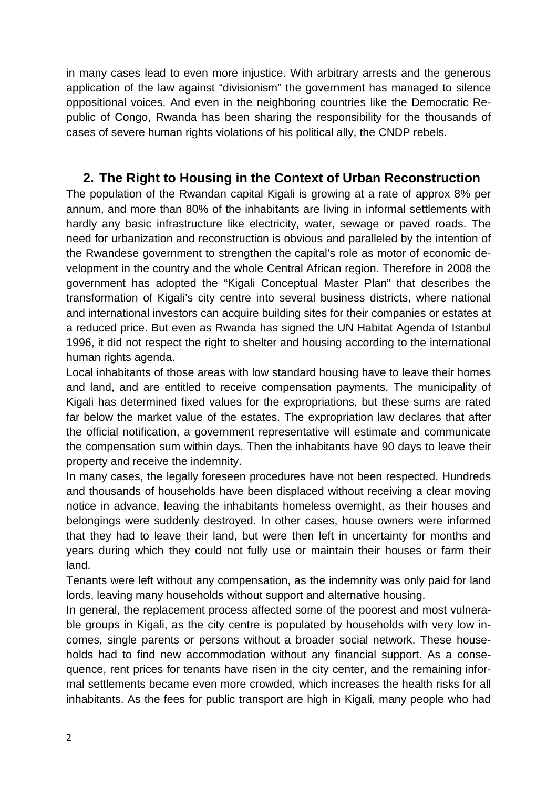in many cases lead to even more injustice. With arbitrary arrests and the generous application of the law against "divisionism" the government has managed to silence oppositional voices. And even in the neighboring countries like the Democratic Republic of Congo, Rwanda has been sharing the responsibility for the thousands of cases of severe human rights violations of his political ally, the CNDP rebels.

### **2. The Right to Housing in the Context of Urban Reconstruction**

The population of the Rwandan capital Kigali is growing at a rate of approx 8% per annum, and more than 80% of the inhabitants are living in informal settlements with hardly any basic infrastructure like electricity, water, sewage or paved roads. The need for urbanization and reconstruction is obvious and paralleled by the intention of the Rwandese government to strengthen the capital's role as motor of economic development in the country and the whole Central African region. Therefore in 2008 the government has adopted the "Kigali Conceptual Master Plan" that describes the transformation of Kigali's city centre into several business districts, where national and international investors can acquire building sites for their companies or estates at a reduced price. But even as Rwanda has signed the UN Habitat Agenda of Istanbul 1996, it did not respect the right to shelter and housing according to the international human rights agenda.

Local inhabitants of those areas with low standard housing have to leave their homes and land, and are entitled to receive compensation payments. The municipality of Kigali has determined fixed values for the expropriations, but these sums are rated far below the market value of the estates. The expropriation law declares that after the official notification, a government representative will estimate and communicate the compensation sum within days. Then the inhabitants have 90 days to leave their property and receive the indemnity.

In many cases, the legally foreseen procedures have not been respected. Hundreds and thousands of households have been displaced without receiving a clear moving notice in advance, leaving the inhabitants homeless overnight, as their houses and belongings were suddenly destroyed. In other cases, house owners were informed that they had to leave their land, but were then left in uncertainty for months and years during which they could not fully use or maintain their houses or farm their land.

Tenants were left without any compensation, as the indemnity was only paid for land lords, leaving many households without support and alternative housing.

In general, the replacement process affected some of the poorest and most vulnerable groups in Kigali, as the city centre is populated by households with very low incomes, single parents or persons without a broader social network. These households had to find new accommodation without any financial support. As a consequence, rent prices for tenants have risen in the city center, and the remaining informal settlements became even more crowded, which increases the health risks for all inhabitants. As the fees for public transport are high in Kigali, many people who had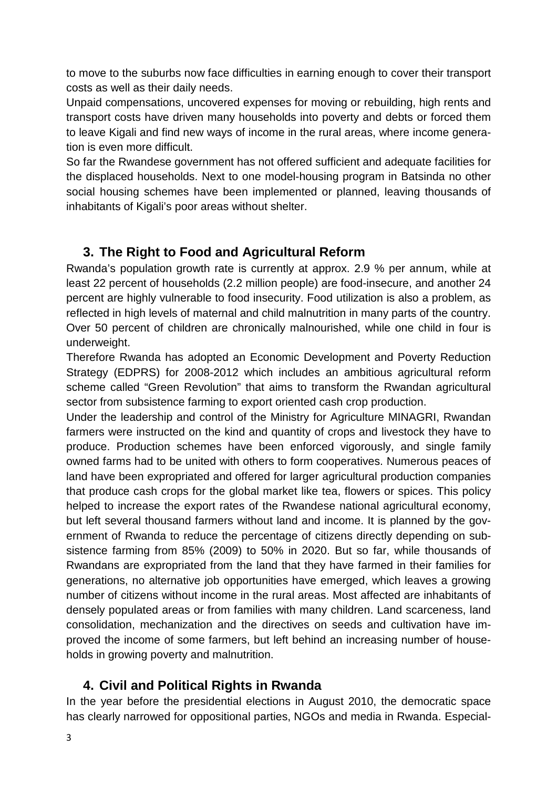to move to the suburbs now face difficulties in earning enough to cover their transport costs as well as their daily needs.

Unpaid compensations, uncovered expenses for moving or rebuilding, high rents and transport costs have driven many households into poverty and debts or forced them to leave Kigali and find new ways of income in the rural areas, where income generation is even more difficult.

So far the Rwandese government has not offered sufficient and adequate facilities for the displaced households. Next to one model-housing program in Batsinda no other social housing schemes have been implemented or planned, leaving thousands of inhabitants of Kigali's poor areas without shelter.

# **3. The Right to Food and Agricultural Reform**

Rwanda's population growth rate is currently at approx. 2.9 % per annum, while at least 22 percent of households (2.2 million people) are food-insecure, and another 24 percent are highly vulnerable to food insecurity. Food utilization is also a problem, as reflected in high levels of maternal and child malnutrition in many parts of the country. Over 50 percent of children are chronically malnourished, while one child in four is underweight.

Therefore Rwanda has adopted an Economic Development and Poverty Reduction Strategy (EDPRS) for 2008-2012 which includes an ambitious agricultural reform scheme called "Green Revolution" that aims to transform the Rwandan agricultural sector from subsistence farming to export oriented cash crop production.

Under the leadership and control of the Ministry for Agriculture MINAGRI, Rwandan farmers were instructed on the kind and quantity of crops and livestock they have to produce. Production schemes have been enforced vigorously, and single family owned farms had to be united with others to form cooperatives. Numerous peaces of land have been expropriated and offered for larger agricultural production companies that produce cash crops for the global market like tea, flowers or spices. This policy helped to increase the export rates of the Rwandese national agricultural economy, but left several thousand farmers without land and income. It is planned by the government of Rwanda to reduce the percentage of citizens directly depending on subsistence farming from 85% (2009) to 50% in 2020. But so far, while thousands of Rwandans are expropriated from the land that they have farmed in their families for generations, no alternative job opportunities have emerged, which leaves a growing number of citizens without income in the rural areas. Most affected are inhabitants of densely populated areas or from families with many children. Land scarceness, land consolidation, mechanization and the directives on seeds and cultivation have improved the income of some farmers, but left behind an increasing number of households in growing poverty and malnutrition.

# **4. Civil and Political Rights in Rwanda**

In the year before the presidential elections in August 2010, the democratic space has clearly narrowed for oppositional parties, NGOs and media in Rwanda. Especial-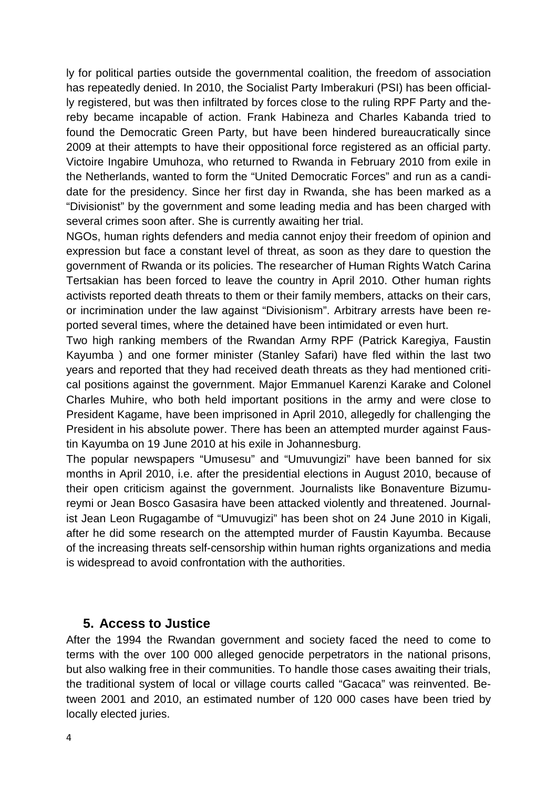ly for political parties outside the governmental coalition, the freedom of association has repeatedly denied. In 2010, the Socialist Party Imberakuri (PSI) has been officially registered, but was then infiltrated by forces close to the ruling RPF Party and thereby became incapable of action. Frank Habineza and Charles Kabanda tried to found the Democratic Green Party, but have been hindered bureaucratically since 2009 at their attempts to have their oppositional force registered as an official party. Victoire Ingabire Umuhoza, who returned to Rwanda in February 2010 from exile in the Netherlands, wanted to form the "United Democratic Forces" and run as a candidate for the presidency. Since her first day in Rwanda, she has been marked as a "Divisionist" by the government and some leading media and has been charged with several crimes soon after. She is currently awaiting her trial.

NGOs, human rights defenders and media cannot enjoy their freedom of opinion and expression but face a constant level of threat, as soon as they dare to question the government of Rwanda or its policies. The researcher of Human Rights Watch Carina Tertsakian has been forced to leave the country in April 2010. Other human rights activists reported death threats to them or their family members, attacks on their cars, or incrimination under the law against "Divisionism". Arbitrary arrests have been reported several times, where the detained have been intimidated or even hurt.

Two high ranking members of the Rwandan Army RPF (Patrick Karegiya, Faustin Kayumba ) and one former minister (Stanley Safari) have fled within the last two years and reported that they had received death threats as they had mentioned critical positions against the government. Major Emmanuel Karenzi Karake and Colonel Charles Muhire, who both held important positions in the army and were close to President Kagame, have been imprisoned in April 2010, allegedly for challenging the President in his absolute power. There has been an attempted murder against Faustin Kayumba on 19 June 2010 at his exile in Johannesburg.

The popular newspapers "Umusesu" and "Umuvungizi" have been banned for six months in April 2010, i.e. after the presidential elections in August 2010, because of their open criticism against the government. Journalists like Bonaventure Bizumureymi or Jean Bosco Gasasira have been attacked violently and threatened. Journalist Jean Leon Rugagambe of "Umuvugizi" has been shot on 24 June 2010 in Kigali, after he did some research on the attempted murder of Faustin Kayumba. Because of the increasing threats self-censorship within human rights organizations and media is widespread to avoid confrontation with the authorities.

#### **5. Access to Justice**

After the 1994 the Rwandan government and society faced the need to come to terms with the over 100 000 alleged genocide perpetrators in the national prisons, but also walking free in their communities. To handle those cases awaiting their trials, the traditional system of local or village courts called "Gacaca" was reinvented. Between 2001 and 2010, an estimated number of 120 000 cases have been tried by locally elected juries.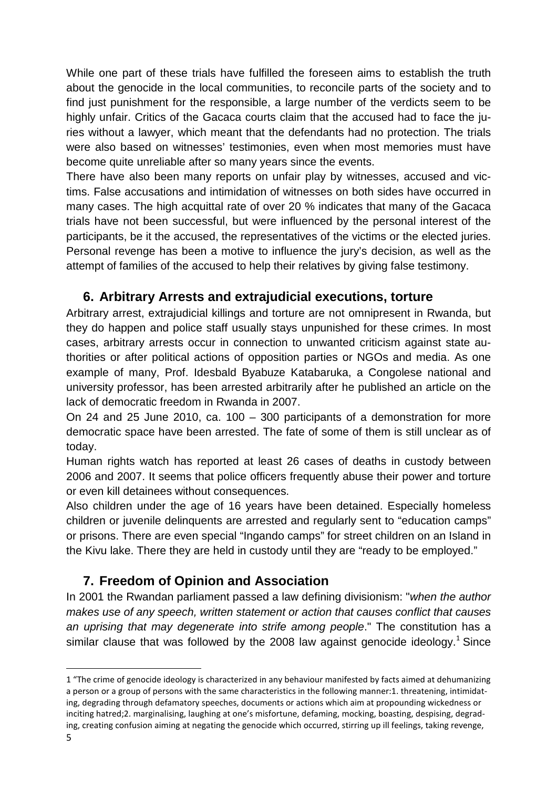While one part of these trials have fulfilled the foreseen aims to establish the truth about the genocide in the local communities, to reconcile parts of the society and to find just punishment for the responsible, a large number of the verdicts seem to be highly unfair. Critics of the Gacaca courts claim that the accused had to face the juries without a lawyer, which meant that the defendants had no protection. The trials were also based on witnesses' testimonies, even when most memories must have become quite unreliable after so many years since the events.

There have also been many reports on unfair play by witnesses, accused and victims. False accusations and intimidation of witnesses on both sides have occurred in many cases. The high acquittal rate of over 20 % indicates that many of the Gacaca trials have not been successful, but were influenced by the personal interest of the participants, be it the accused, the representatives of the victims or the elected juries. Personal revenge has been a motive to influence the jury's decision, as well as the attempt of families of the accused to help their relatives by giving false testimony.

### **6. Arbitrary Arrests and extrajudicial executions, torture**

Arbitrary arrest, extrajudicial killings and torture are not omnipresent in Rwanda, but they do happen and police staff usually stays unpunished for these crimes. In most cases, arbitrary arrests occur in connection to unwanted criticism against state authorities or after political actions of opposition parties or NGOs and media. As one example of many, Prof. Idesbald Byabuze Katabaruka, a Congolese national and university professor, has been arrested arbitrarily after he published an article on the lack of democratic freedom in Rwanda in 2007.

On 24 and 25 June 2010, ca. 100 – 300 participants of a demonstration for more democratic space have been arrested. The fate of some of them is still unclear as of today.

Human rights watch has reported at least 26 cases of deaths in custody between 2006 and 2007. It seems that police officers frequently abuse their power and torture or even kill detainees without consequences.

Also children under the age of 16 years have been detained. Especially homeless children or juvenile delinquents are arrested and regularly sent to "education camps" or prisons. There are even special "Ingando camps" for street children on an Island in the Kivu lake. There they are held in custody until they are "ready to be employed."

# **7. Freedom of Opinion and Association**

In 2001 the Rwandan parliament passed a law defining divisionism: "when the author makes use of any speech, written statement or action that causes conflict that causes an uprising that may degenerate into strife among people." The constitution has a similar clause that was followed by the 2008 law against genocide ideology.<sup>1</sup> Since

 $\overline{\phantom{a}}$ 

<sup>1 &</sup>quot;The crime of genocide ideology is characterized in any behaviour manifested by facts aimed at dehumanizing a person or a group of persons with the same characteristics in the following manner:1. threatening, intimidating, degrading through defamatory speeches, documents or actions which aim at propounding wickedness or inciting hatred;2. marginalising, laughing at one's misfortune, defaming, mocking, boasting, despising, degrading, creating confusion aiming at negating the genocide which occurred, stirring up ill feelings, taking revenge,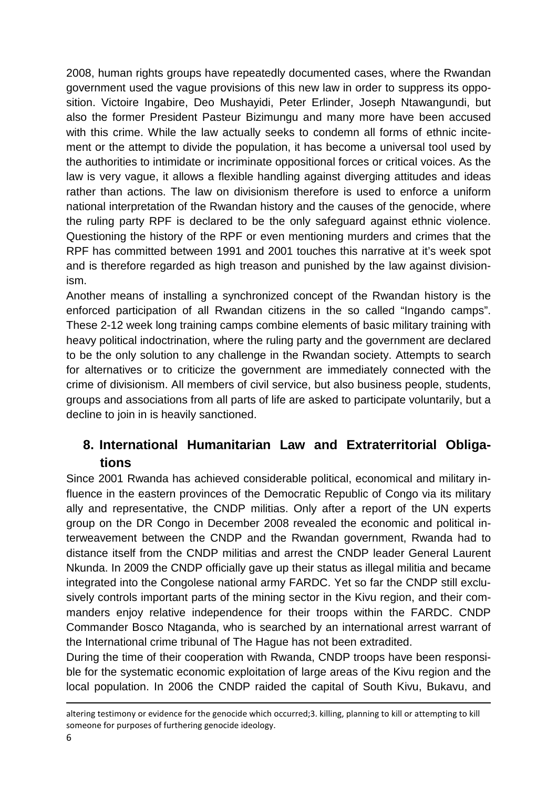2008, human rights groups have repeatedly documented cases, where the Rwandan government used the vague provisions of this new law in order to suppress its opposition. Victoire Ingabire, Deo Mushayidi, Peter Erlinder, Joseph Ntawangundi, but also the former President Pasteur Bizimungu and many more have been accused with this crime. While the law actually seeks to condemn all forms of ethnic incitement or the attempt to divide the population, it has become a universal tool used by the authorities to intimidate or incriminate oppositional forces or critical voices. As the law is very vague, it allows a flexible handling against diverging attitudes and ideas rather than actions. The law on divisionism therefore is used to enforce a uniform national interpretation of the Rwandan history and the causes of the genocide, where the ruling party RPF is declared to be the only safeguard against ethnic violence. Questioning the history of the RPF or even mentioning murders and crimes that the RPF has committed between 1991 and 2001 touches this narrative at it's week spot and is therefore regarded as high treason and punished by the law against divisionism.

Another means of installing a synchronized concept of the Rwandan history is the enforced participation of all Rwandan citizens in the so called "Ingando camps". These 2-12 week long training camps combine elements of basic military training with heavy political indoctrination, where the ruling party and the government are declared to be the only solution to any challenge in the Rwandan society. Attempts to search for alternatives or to criticize the government are immediately connected with the crime of divisionism. All members of civil service, but also business people, students, groups and associations from all parts of life are asked to participate voluntarily, but a decline to join in is heavily sanctioned.

# **8. International Humanitarian Law and Extraterritorial Obligations**

Since 2001 Rwanda has achieved considerable political, economical and military influence in the eastern provinces of the Democratic Republic of Congo via its military ally and representative, the CNDP militias. Only after a report of the UN experts group on the DR Congo in December 2008 revealed the economic and political interweavement between the CNDP and the Rwandan government, Rwanda had to distance itself from the CNDP militias and arrest the CNDP leader General Laurent Nkunda. In 2009 the CNDP officially gave up their status as illegal militia and became integrated into the Congolese national army FARDC. Yet so far the CNDP still exclusively controls important parts of the mining sector in the Kivu region, and their commanders enjoy relative independence for their troops within the FARDC. CNDP Commander Bosco Ntaganda, who is searched by an international arrest warrant of the International crime tribunal of The Hague has not been extradited.

During the time of their cooperation with Rwanda, CNDP troops have been responsible for the systematic economic exploitation of large areas of the Kivu region and the local population. In 2006 the CNDP raided the capital of South Kivu, Bukavu, and

<u>.</u>

altering testimony or evidence for the genocide which occurred;3. killing, planning to kill or attempting to kill someone for purposes of furthering genocide ideology.